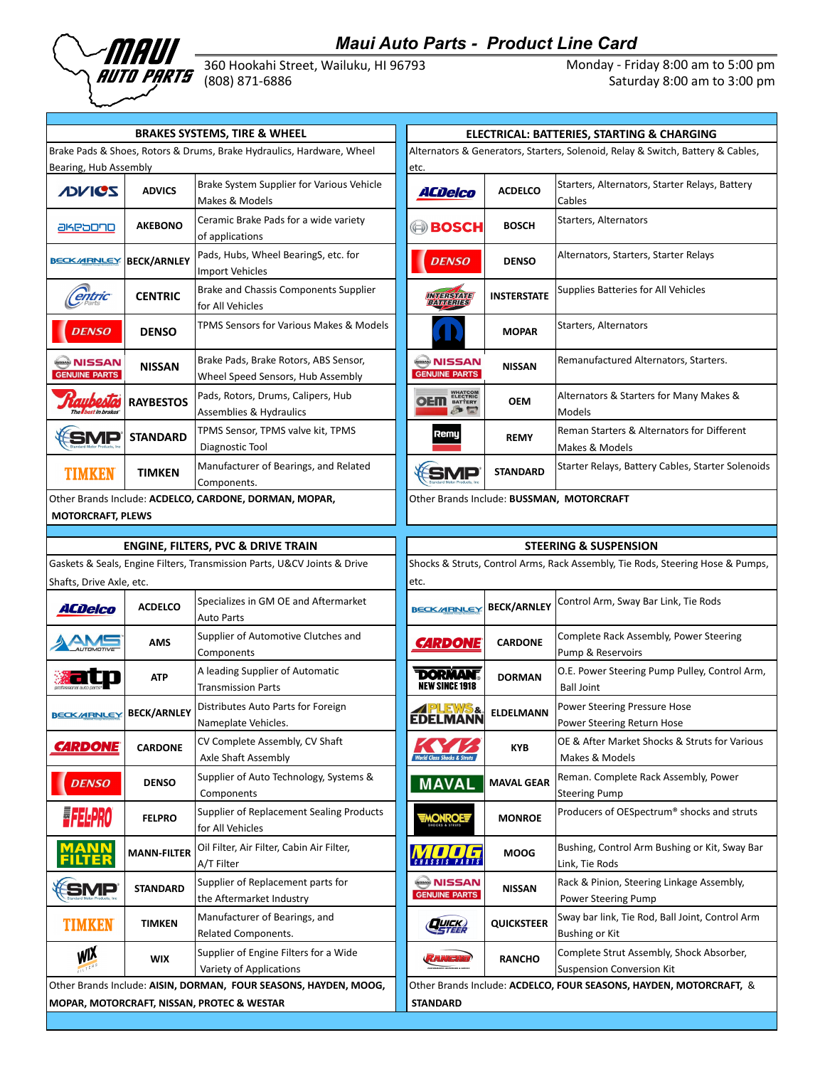

## *Maui Auto Parts - Product Line Card*

Maul Auto Parts - Product Liffe Caru (1990) Manner Care (1990) Monday - Friday 8:00 am to 5:00 pm<br> **AUTO PARTS** (808) 871-6886 (808) Saturday 8:00 am to 3:00 pm

Saturday 8:00 am to 3:00 pm

| <b>BRAKES SYSTEMS, TIRE &amp; WHEEL</b>                         |                    |                                                                                                                  | ELECTRICAL: BATTERIES, STARTING & CHARGING  |                    |                                                                                                                                                                |  |
|-----------------------------------------------------------------|--------------------|------------------------------------------------------------------------------------------------------------------|---------------------------------------------|--------------------|----------------------------------------------------------------------------------------------------------------------------------------------------------------|--|
| Bearing, Hub Assembly                                           |                    | Brake Pads & Shoes, Rotors & Drums, Brake Hydraulics, Hardware, Wheel                                            | etc.                                        |                    | Alternators & Generators, Starters, Solenoid, Relay & Switch, Battery & Cables,                                                                                |  |
| <b>JOVICS</b>                                                   | <b>ADVICS</b>      | Brake System Supplier for Various Vehicle<br>Makes & Models                                                      | <b>ACDelco</b>                              | <b>ACDELCO</b>     | Starters, Alternators, Starter Relays, Battery<br>Cables                                                                                                       |  |
| akeaono                                                         | <b>AKEBONO</b>     | Ceramic Brake Pads for a wide variety<br>of applications                                                         | (=) BOSCH                                   | <b>BOSCH</b>       | Starters, Alternators                                                                                                                                          |  |
| <b>BECK/ARNLEY</b>                                              | <b>BECK/ARNLEY</b> | Pads, Hubs, Wheel BearingS, etc. for<br><b>Import Vehicles</b>                                                   | <b>DENSO</b>                                | <b>DENSO</b>       | Alternators, Starters, Starter Relays                                                                                                                          |  |
| Centric                                                         | <b>CENTRIC</b>     | Brake and Chassis Components Supplier<br>for All Vehicles                                                        | INMERSIZME<br> BAVIMERITES]                 | <b>INSTERSTATE</b> | Supplies Batteries for All Vehicles                                                                                                                            |  |
| <b>DENSO</b>                                                    | <b>DENSO</b>       | TPMS Sensors for Various Makes & Models                                                                          |                                             | <b>MOPAR</b>       | Starters, Alternators                                                                                                                                          |  |
| NISSAN ﴿<br><b>GENUINE PARTS</b>                                | <b>NISSAN</b>      | Brake Pads, Brake Rotors, ABS Sensor,<br>Wheel Speed Sensors, Hub Assembly                                       | NISSAN ﴿ يَسْمِعُ<br><b>GENUINE PARTS</b>   | <b>NISSAN</b>      | Remanufactured Alternators, Starters.                                                                                                                          |  |
| <b>Tallbest in brakes</b>                                       | <b>RAYBESTOS</b>   | Pads, Rotors, Drums, Calipers, Hub<br>Assemblies & Hydraulics                                                    | <b>OEM</b> EXPERIENCE                       | OEM                | Alternators & Starters for Many Makes &<br>Models                                                                                                              |  |
| SMP                                                             | <b>STANDARD</b>    | TPMS Sensor, TPMS valve kit, TPMS<br>Diagnostic Tool                                                             | Remy                                        | <b>REMY</b>        | Reman Starters & Alternators for Different<br>Makes & Models                                                                                                   |  |
| <b>TIMKEN</b>                                                   | <b>TIMKEN</b>      | Manufacturer of Bearings, and Related<br>Components.                                                             | <b>SMP</b>                                  | <b>STANDARD</b>    | Starter Relays, Battery Cables, Starter Solenoic                                                                                                               |  |
|                                                                 |                    | Other Brands Include: ACDELCO, CARDONE, DORMAN, MOPAR,                                                           |                                             |                    | Other Brands Include: BUSSMAN, MOTORCRAFT                                                                                                                      |  |
|                                                                 |                    |                                                                                                                  |                                             |                    |                                                                                                                                                                |  |
| <b>MOTORCRAFT, PLEWS</b>                                        |                    | ENGINE, FILTERS, PVC & DRIVE TRAIN                                                                               |                                             |                    | <b>STEERING &amp; SUSPENSION</b>                                                                                                                               |  |
|                                                                 |                    | Gaskets & Seals, Engine Filters, Transmission Parts, U&CV Joints & Drive<br>Specializes in GM OE and Aftermarket | etc.                                        |                    | Shocks & Struts, Control Arms, Rack Assembly, Tie Rods, Steering Hose & Pumps<br>Control Arm, Sway Bar Link, Tie Rods                                          |  |
| <b>ACDelco</b>                                                  | <b>ACDELCO</b>     | <b>Auto Parts</b><br>Supplier of Automotive Clutches and                                                         | <b>BECK/ARNLEY</b>                          | <b>BECK/ARNLEY</b> | Complete Rack Assembly, Power Steering                                                                                                                         |  |
|                                                                 | AMS                | Components<br>A leading Supplier of Automatic                                                                    | <b><i>CARDONE</i></b>                       | <b>CARDONE</b>     | Pump & Reservoirs<br>O.E. Power Steering Pump Pulley, Control Arm                                                                                              |  |
|                                                                 | <b>ATP</b>         | <b>Transmission Parts</b>                                                                                        | <b>DORMANT</b><br><b>NEW SINCE 1918</b>     | <b>DORMAN</b>      | <b>Ball Joint</b>                                                                                                                                              |  |
|                                                                 | <b>BECK/ARNLEY</b> | Distributes Auto Parts for Foreign<br>Nameplate Vehicles.                                                        | PLEWS&<br><b>EDELMANN</b>                   | <b>ELDELMANN</b>   | Power Steering Pressure Hose<br>Power Steering Return Hose                                                                                                     |  |
| <b>CARDONE</b>                                                  | <b>CARDONE</b>     | CV Complete Assembly, CV Shaft<br>Axle Shaft Assembly                                                            |                                             | <b>KYB</b>         | Makes & Models                                                                                                                                                 |  |
| <b>DENSO</b>                                                    | <b>DENSO</b>       | Supplier of Auto Technology, Systems &<br>Components                                                             | <b>MAVAL</b>                                | <b>MAVAL GEAR</b>  | Reman. Complete Rack Assembly, Power<br><b>Steering Pump</b>                                                                                                   |  |
| <b>FELPRO</b>                                                   | <b>FELPRO</b>      | Supplier of Replacement Sealing Products<br>for All Vehicles                                                     | MONROE                                      | <b>MONROE</b>      |                                                                                                                                                                |  |
| MANN<br>FILTER                                                  | <b>MANN-FILTER</b> | Oil Filter, Air Filter, Cabin Air Filter,<br>A/T Filter                                                          | <b>AVIE ET</b>                              | <b>MOOG</b>        | OE & After Market Shocks & Struts for Various<br>Producers of OESpectrum® shocks and struts<br>Bushing, Control Arm Bushing or Kit, Sway Bar<br>Link, Tie Rods |  |
| <b>SMP</b>                                                      | <b>STANDARD</b>    | Supplier of Replacement parts for<br>the Aftermarket Industry                                                    | NISSAN ﴿ وَسَبَبِهِ<br><b>GENUINE PARTS</b> | NISSAN             | Rack & Pinion, Steering Linkage Assembly,<br>Power Steering Pump                                                                                               |  |
| Shafts, Drive Axle, etc.<br><b>BECK/ARNLEY</b><br><b>TIMKEN</b> | <b>TIMKEN</b>      | Manufacturer of Bearings, and<br>Related Components.                                                             | <b>QUICK)</b>                               | <b>QUICKSTEER</b>  | Sway bar link, Tie Rod, Ball Joint, Control Arm<br>Bushing or Kit                                                                                              |  |

|                    | <b>BRAKES SYSTEMS, TIRE &amp; WHEEL</b>                                    | ELECTRICAL: BATTERIES, STARTING & CHARGING                                              |                    |                                                              |  |
|--------------------|----------------------------------------------------------------------------|-----------------------------------------------------------------------------------------|--------------------|--------------------------------------------------------------|--|
| embly              | es, Rotors & Drums, Brake Hydraulics, Hardware, Wheel                      | Alternators & Generators, Starters, Solenoid, Relay & Switch, Battery & Cables,<br>etc. |                    |                                                              |  |
| <b>ADVICS</b>      | Brake System Supplier for Various Vehicle<br>Makes & Models                | ACDelco                                                                                 | <b>ACDELCO</b>     | Starters, Alternators, Starter Relays, Battery<br>Cables     |  |
| <b>AKEBONO</b>     | Ceramic Brake Pads for a wide variety<br>of applications                   | <b>BOSCH</b>                                                                            | <b>BOSCH</b>       | Starters, Alternators                                        |  |
| <b>BECK/ARNLEY</b> | Pads, Hubs, Wheel BearingS, etc. for<br><b>Import Vehicles</b>             | <b>DENSO</b>                                                                            | <b>DENSO</b>       | Alternators, Starters, Starter Relays                        |  |
| <b>CENTRIC</b>     | Brake and Chassis Components Supplier<br>for All Vehicles                  | Vul 1:1She.br/=                                                                         | <b>INSTERSTATE</b> | Supplies Batteries for All Vehicles                          |  |
| <b>DENSO</b>       | TPMS Sensors for Various Makes & Models                                    |                                                                                         | <b>MOPAR</b>       | Starters, Alternators                                        |  |
| <b>NISSAN</b>      | Brake Pads, Brake Rotors, ABS Sensor,<br>Wheel Speed Sensors, Hub Assembly | <b>WESSAN</b><br><b>GENUINE PARTS</b>                                                   | <b>NISSAN</b>      | Remanufactured Alternators, Starters.                        |  |
| <b>RAYBESTOS</b>   | Pads, Rotors, Drums, Calipers, Hub<br><b>Assemblies &amp; Hydraulics</b>   | <b>OEM</b> ELECTRIC<br>$\rightarrow$                                                    | <b>OEM</b>         | Alternators & Starters for Many Makes &<br>Models            |  |
| <b>STANDARD</b>    | TPMS Sensor, TPMS valve kit, TPMS<br>Diagnostic Tool                       | Remy                                                                                    | <b>REMY</b>        | Reman Starters & Alternators for Different<br>Makes & Models |  |
| <b>TIMKEN</b>      | Manufacturer of Bearings, and Related<br>Components.                       | $\Box$                                                                                  | <b>STANDARD</b>    | Starter Relays, Battery Cables, Starter Solenoids            |  |
| LEWS               | ude: ACDELCO, CARDONE, DORMAN, MOPAR,                                      |                                                                                         |                    | Other Brands Include: BUSSMAN, MOTORCRAFT                    |  |
|                    |                                                                            |                                                                                         |                    |                                                              |  |
|                    |                                                                            |                                                                                         |                    |                                                              |  |

| <b>ENGINE, FILTERS, PVC &amp; DRIVE TRAIN</b>                                                                  |                    |                                                                  | STEERING & SUSPENSION                                                                 |                    |                                                                              |  |
|----------------------------------------------------------------------------------------------------------------|--------------------|------------------------------------------------------------------|---------------------------------------------------------------------------------------|--------------------|------------------------------------------------------------------------------|--|
| Gaskets & Seals, Engine Filters, Transmission Parts, U&CV Joints & Drive                                       |                    |                                                                  | Shocks & Struts, Control Arms, Rack Assembly, Tie Rods, Steering Hose & Pumps,        |                    |                                                                              |  |
| Shafts, Drive Axle, etc.                                                                                       |                    |                                                                  | etc.                                                                                  |                    |                                                                              |  |
| ACDelco                                                                                                        | <b>ACDELCO</b>     | Specializes in GM OE and Aftermarket<br><b>Auto Parts</b>        | <b>BECK/ARNLEY</b>                                                                    | <b>BECK/ARNLEY</b> | Control Arm, Sway Bar Link, Tie Rods                                         |  |
|                                                                                                                | <b>AMS</b>         | Supplier of Automotive Clutches and<br>Components                | <b><i>CARDONE</i></b>                                                                 | <b>CARDONE</b>     | Complete Rack Assembly, Power Steering<br>Pump & Reservoirs                  |  |
|                                                                                                                | <b>ATP</b>         | A leading Supplier of Automatic<br><b>Transmission Parts</b>     | <b><i>DORNAN</i></b><br><b>NEW SINCE 1918</b>                                         | <b>DORMAN</b>      | O.E. Power Steering Pump Pulley, Control Arm,<br><b>Ball Joint</b>           |  |
| <b>BECK/ARNLEY</b>                                                                                             | <b>BECK/ARNLEY</b> | Distributes Auto Parts for Foreign<br>Nameplate Vehicles.        | PLEWS&<br><b>EDELMANN</b>                                                             | <b>ELDELMANN</b>   | Power Steering Pressure Hose<br>Power Steering Return Hose                   |  |
| <b>CARDONE</b>                                                                                                 | <b>CARDONE</b>     | CV Complete Assembly, CV Shaft<br>Axle Shaft Assembly            |                                                                                       | <b>KYB</b>         | OE & After Market Shocks & Struts for Various<br>Makes & Models              |  |
| <b>DENSO</b>                                                                                                   | <b>DENSO</b>       | Supplier of Auto Technology, Systems &<br>Components             | <b>MAVAL</b>                                                                          | <b>MAVAL GEAR</b>  | Reman. Complete Rack Assembly, Power<br><b>Steering Pump</b>                 |  |
| <b>EFELPRO</b>                                                                                                 | <b>FELPRO</b>      | Supplier of Replacement Sealing Products<br>for All Vehicles     | MONROE                                                                                | <b>MONROE</b>      | Producers of OESpectrum <sup>®</sup> shocks and struts                       |  |
| MANN                                                                                                           | <b>MANN-FILTER</b> | Oil Filter, Air Filter, Cabin Air Filter,<br>A/T Filter          | <b>MOLF</b>                                                                           | <b>MOOG</b>        | Bushing, Control Arm Bushing or Kit, Sway Bar<br>Link, Tie Rods              |  |
| <b>SMP</b>                                                                                                     | <b>STANDARD</b>    | Supplier of Replacement parts for<br>the Aftermarket Industry    | <b>NISSAN</b><br><b>GENUINE PARTS</b>                                                 | <b>NISSAN</b>      | Rack & Pinion, Steering Linkage Assembly,<br>Power Steering Pump             |  |
| TIMKEN                                                                                                         | <b>TIMKEN</b>      | Manufacturer of Bearings, and<br>Related Components.             | <b>QUICK)</b>                                                                         | <b>QUICKSTEER</b>  | Sway bar link, Tie Rod, Ball Joint, Control Arm<br><b>Bushing or Kit</b>     |  |
| <b>WIX</b>                                                                                                     | <b>WIX</b>         | Supplier of Engine Filters for a Wide<br>Variety of Applications |                                                                                       | <b>RANCHO</b>      | Complete Strut Assembly, Shock Absorber,<br><b>Suspension Conversion Kit</b> |  |
| Other Brands Include: AISIN, DORMAN, FOUR SEASONS, HAYDEN, MOOG,<br>MOPAR, MOTORCRAFT, NISSAN, PROTEC & WESTAR |                    |                                                                  | Other Brands Include: ACDELCO, FOUR SEASONS, HAYDEN, MOTORCRAFT, &<br><b>STANDARD</b> |                    |                                                                              |  |
|                                                                                                                |                    |                                                                  |                                                                                       |                    |                                                                              |  |